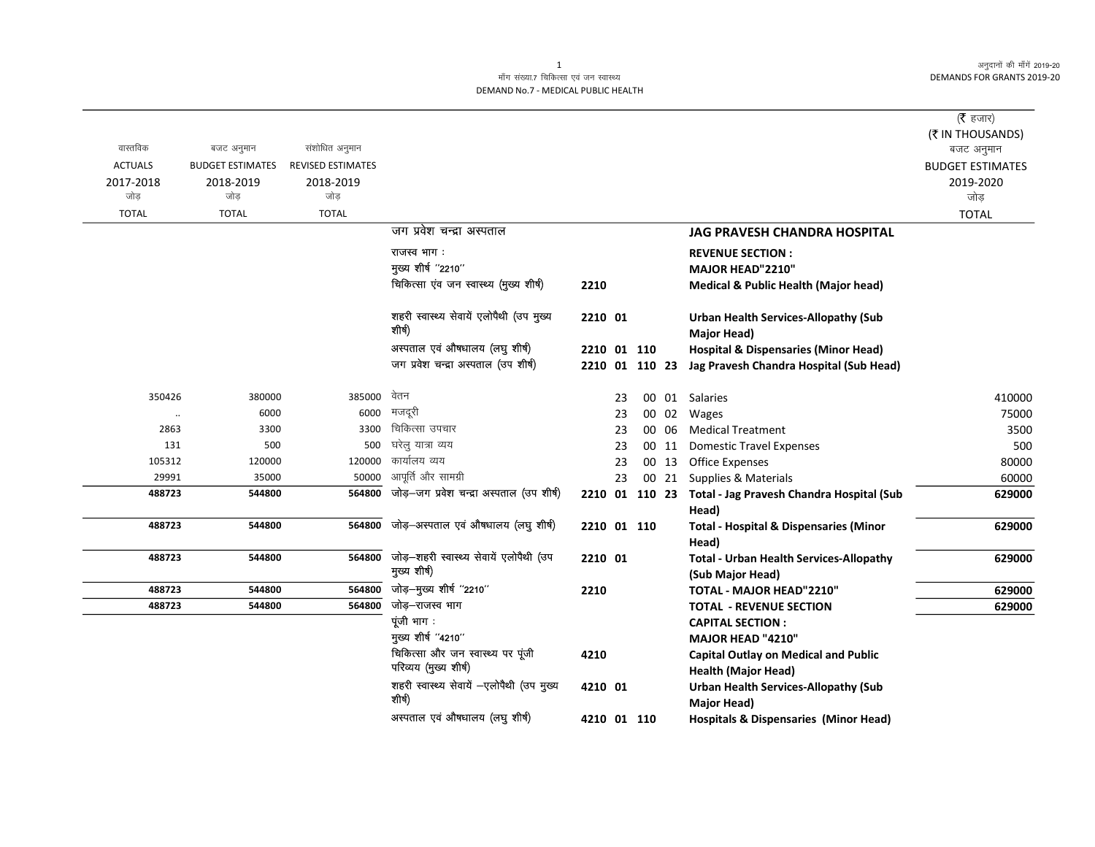अनुदानों की माँगें 2019-20 **DEMANDS FOR GRANTS 2019-20** 

## माँग संख्या.7 चिकित्सा एवं जन स्वास्थ्य DEMAND No.7 - MEDICAL PUBLIC HEALTH

|                  |                         |                          |                                                               |                |    |       |                                                                    | (रै हजार)               |
|------------------|-------------------------|--------------------------|---------------------------------------------------------------|----------------|----|-------|--------------------------------------------------------------------|-------------------------|
|                  |                         |                          |                                                               |                |    |       |                                                                    | (₹ IN THOUSANDS)        |
| वास्तविक         | बजट अनुमान              | संशोधित अनुमान           |                                                               |                |    |       |                                                                    | बजट अनुमान              |
| <b>ACTUALS</b>   | <b>BUDGET ESTIMATES</b> | <b>REVISED ESTIMATES</b> |                                                               |                |    |       |                                                                    | <b>BUDGET ESTIMATES</b> |
| 2017-2018<br>जोड | 2018-2019<br>जोड        | 2018-2019<br>जोड         |                                                               |                |    |       |                                                                    | 2019-2020<br>जोड        |
| <b>TOTAL</b>     | <b>TOTAL</b>            | <b>TOTAL</b>             |                                                               |                |    |       |                                                                    | <b>TOTAL</b>            |
|                  |                         |                          | जग प्रवेश चन्द्रा अस्पताल                                     |                |    |       | <b>JAG PRAVESH CHANDRA HOSPITAL</b>                                |                         |
|                  |                         |                          |                                                               |                |    |       |                                                                    |                         |
|                  |                         |                          | राजस्व भाग:                                                   |                |    |       | <b>REVENUE SECTION:</b>                                            |                         |
|                  |                         |                          | मुख्य शीर्ष "2210"<br>चिकित्सा एंव जन स्वास्थ्य (मुख्य शीर्ष) |                |    |       | <b>MAJOR HEAD"2210"</b>                                            |                         |
|                  |                         |                          |                                                               | 2210           |    |       | <b>Medical &amp; Public Health (Major head)</b>                    |                         |
|                  |                         |                          | शहरी स्वास्थ्य सेवायें एलोपैथी (उप मुख्य<br>शीर्ष)            | 2210 01        |    |       | <b>Urban Health Services-Allopathy (Sub</b><br>Major Head)         |                         |
|                  |                         |                          | अस्पताल एवं औषधालय (लघु शीर्ष)                                | 2210 01 110    |    |       | <b>Hospital &amp; Dispensaries (Minor Head)</b>                    |                         |
|                  |                         |                          | जग प्रवेश चन्द्रा अस्पताल (उप शीर्ष)                          | 2210 01 110 23 |    |       | Jag Pravesh Chandra Hospital (Sub Head)                            |                         |
|                  |                         |                          |                                                               |                |    |       |                                                                    |                         |
| 350426           | 380000                  | 385000                   | वेतन                                                          |                | 23 |       | 00 01 Salaries                                                     | 410000                  |
| $\ddotsc$        | 6000                    | 6000                     | मजदूरी                                                        |                | 23 | 00 02 | Wages                                                              | 75000                   |
| 2863             | 3300                    | 3300                     | चिकित्सा उपचार                                                |                | 23 | 00 06 | <b>Medical Treatment</b>                                           | 3500                    |
| 131              | 500                     | 500                      | घरेलु यात्रा व्यय                                             |                | 23 | 00 11 | <b>Domestic Travel Expenses</b>                                    | 500                     |
| 105312           | 120000                  | 120000                   | कार्यालय व्यय                                                 |                | 23 |       | 00 13 Office Expenses                                              | 80000                   |
| 29991            | 35000                   | 50000                    | आपूर्ति और सामग्री                                            |                | 23 |       | 00 21 Supplies & Materials                                         | 60000                   |
| 488723           | 544800                  | 564800                   | जोड़-जग प्रवेश चन्द्रा अस्पताल (उप शीर्ष)                     |                |    |       | 2210 01 110 23 Total - Jag Pravesh Chandra Hospital (Sub           | 629000                  |
|                  |                         |                          |                                                               |                |    |       | Head)                                                              |                         |
| 488723           | 544800                  | 564800                   | जोड़-अस्पताल एवं औषधालय (लघु शीर्ष)                           | 2210 01 110    |    |       | <b>Total - Hospital &amp; Dispensaries (Minor</b><br>Head)         | 629000                  |
| 488723           | 544800                  | 564800                   | जोड़–शहरी स्वास्थ्य सेवायें एलोपैथी (उप<br>मुख्य शीर्ष)       | 2210 01        |    |       | <b>Total - Urban Health Services-Allopathy</b><br>(Sub Major Head) | 629000                  |
| 488723           | 544800                  | 564800                   | जोड़–मुख्य शीर्ष ''2210''                                     | 2210           |    |       | TOTAL - MAJOR HEAD"2210"                                           | 629000                  |
| 488723           | 544800                  | 564800                   | जोड़–राजस्व भाग                                               |                |    |       | <b>TOTAL - REVENUE SECTION</b>                                     | 629000                  |
|                  |                         |                          | पूंजी भाग :                                                   |                |    |       | <b>CAPITAL SECTION:</b>                                            |                         |
|                  |                         |                          | मुख्य शीर्ष "4210"                                            |                |    |       | MAJOR HEAD "4210"                                                  |                         |
|                  |                         |                          | चिकित्सा और जन स्वास्थ्य पर पूंजी                             | 4210           |    |       | <b>Capital Outlay on Medical and Public</b>                        |                         |
|                  |                         |                          | परिव्यय (मुख्य शीर्ष)                                         |                |    |       | <b>Health (Major Head)</b>                                         |                         |
|                  |                         |                          | शहरी स्वास्थ्य सेवायें -एलोपैथी (उप मुख्य<br>शीर्ष)           | 4210 01        |    |       | <b>Urban Health Services-Allopathy (Sub</b>                        |                         |
|                  |                         |                          | अस्पताल एवं औषधालय (लघु शीर्ष)                                |                |    |       | Major Head)                                                        |                         |
|                  |                         |                          |                                                               | 4210 01 110    |    |       | <b>Hospitals &amp; Dispensaries (Minor Head)</b>                   |                         |

 $\mathbf{1}$